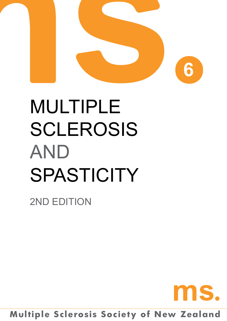

# Multiple **SCLEROSIS AND SPASTICITY**

2ND EDITION



**Multiple Sclerosis Society of New Zealand**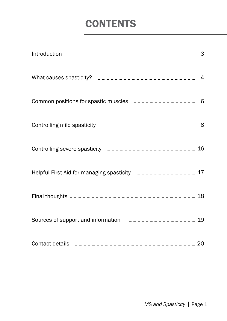### **CONTENTS**

| Common positions for spastic muscles $-$ -------------- 6                  |  |
|----------------------------------------------------------------------------|--|
|                                                                            |  |
| Controlling severe spasticity _______________________ 16                   |  |
| Helpful First Aid for managing spasticity = = = = = = = = = = = = = 17     |  |
|                                                                            |  |
| Sources of support and information<br>$-$ - - - - - - - - - - - - - - - 19 |  |
|                                                                            |  |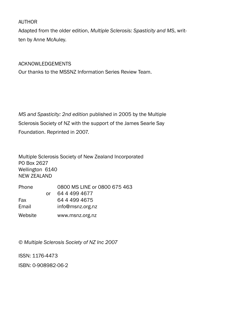#### AUTHOR

Adapted from the older edition, *Multiple Sclerosis: Spasticity and MS*, written by Anne McAuley.

#### Acknowledgements

Our thanks to the MSSNZ Information Series Review Team.

*MS and Spasticity: 2nd edition* published in 2005 by the Multiple Sclerosis Society of NZ with the support of the James Searle Say Foundation. Reprinted in 2007.

Multiple Sclerosis Society of New Zealand Incorporated PO Box 2627 Wellington 6140 NEW ZEALAND

| Phone   |    | 0800 MS LINE or 0800 675 463 |  |  |
|---------|----|------------------------------|--|--|
|         | Ωr | 64 4 4 9 4 6 7 7             |  |  |
| Fax     |    | 64 4 499 4675                |  |  |
| Email   |    | info@msnz.org.nz             |  |  |
| Website |    | www.msnz.org.nz              |  |  |

*© Multiple Sclerosis Society of NZ Inc 2007*

ISSN: 1176-4473

ISBN: 0-908982-06-2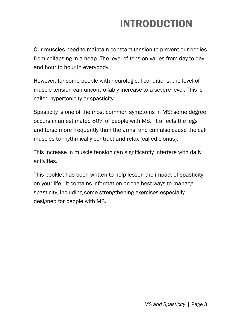# INTRODUCTION

Our muscles need to maintain constant tension to prevent our bodies from collapsing in a heap. The level of tension varies from day to day and hour to hour in everybody.

However, for some people with neurological conditions, the level of muscle tension can uncontrollably increase to a severe level. This is called hypertonicity or spasticity.

Spasticity is one of the most common symptoms in MS; some degree occurs in an estimated 80% of people with MS. It affects the legs and torso more frequently than the arms, and can also cause the calf muscles to rhythmically contract and relax (called clonus).

This increase in muscle tension can significantly interfere with daily activities.

This booklet has been written to help lessen the impact of spasticity on your life. It contains information on the best ways to manage spasticity, including some strengthening exercises especially designed for people with MS.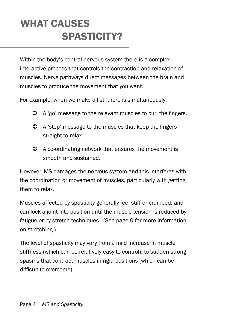### WHAT CAUSES SPASTICITY?

Within the body's central nervous system there is a complex interactive process that controls the contraction and relaxation of muscles. Nerve pathways direct messages between the brain and muscles to produce the movement that you want.

For example, when we make a fist, there is simultaneously:

- $\supset$  A 'go' message to the relevant muscles to curl the fingers.
- $\bullet$  A 'stop' message to the muscles that keep the fingers straight to relax.
- $\supset$  A co-ordinating network that ensures the movement is smooth and sustained.

However, MS damages the nervous system and this interferes with the coordination or movement of muscles, particularly with getting them to relax.

Muscles affected by spasticity generally feel stiff or cramped, and can lock a joint into position until the muscle tension is reduced by fatigue or by stretch techniques. (See page 9 for more information on stretching.)

The level of spasticity may vary from a mild increase in muscle stiffness (which can be relatively easy to control), to sudden strong spasms that contract muscles in rigid positions (which can be difficult to overcome).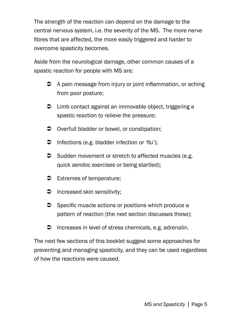The strength of the reaction can depend on the damage to the central nervous system, i.e. the severity of the MS. The more nerve fibres that are affected, the more easily triggered and harder to overcome spasticity becomes.

Aside from the neurological damage, other common causes of a spastic reaction for people with MS are:

- $\bullet$  A pain message from injury or joint inflammation, or aching from poor posture;
- $\supset$  Limb contact against an immovable object, triggering a spastic reaction to relieve the pressure;
- $\supset$  Overfull bladder or bowel, or constipation;
- $\supset$  Infections (e.g. bladder infection or 'flu');
- $\supset$  Sudden movement or stretch to affected muscles (e.g. quick aerobic exercises or being startled);
- **●** Extremes of temperature;
- $\supset$  Increased skin sensitivity;
- **Specific muscle actions or positions which produce a** pattern of reaction (the next section discusses these);
- **D** Increases in level of stress chemicals, e.g. adrenalin.

The next few sections of this booklet suggest some approaches for preventing and managing spasticity, and they can be used regardless of how the reactions were caused.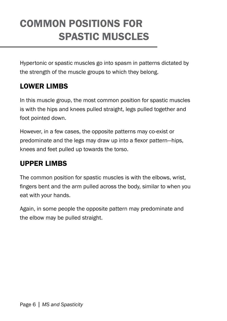### common positions for spastic muscles

Hypertonic or spastic muscles go into spasm in patterns dictated by the strength of the muscle groups to which they belong.

#### Lower Limbs

In this muscle group, the most common position for spastic muscles is with the hips and knees pulled straight, legs pulled together and foot pointed down.

However, in a few cases, the opposite patterns may co-exist or predominate and the legs may draw up into a flexor pattern—hips, knees and feet pulled up towards the torso.

#### Upper Limbs

The common position for spastic muscles is with the elbows, wrist, fingers bent and the arm pulled across the body, similar to when you eat with your hands.

Again, in some people the opposite pattern may predominate and the elbow may be pulled straight.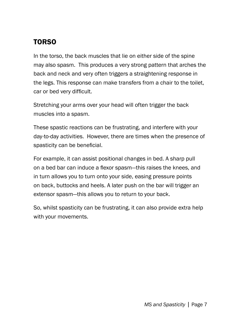### Torso

In the torso, the back muscles that lie on either side of the spine may also spasm. This produces a very strong pattern that arches the back and neck and very often triggers a straightening response in the legs. This response can make transfers from a chair to the toilet, car or bed very difficult.

Stretching your arms over your head will often trigger the back muscles into a spasm.

These spastic reactions can be frustrating, and interfere with your day-to-day activities. However, there are times when the presence of spasticity can be beneficial.

For example, it can assist positional changes in bed. A sharp pull on a bed bar can induce a flexor spasm—this raises the knees, and in turn allows you to turn onto your side, easing pressure points on back, buttocks and heels. A later push on the bar will trigger an extensor spasm—this allows you to return to your back.

So, whilst spasticity can be frustrating, it can also provide extra help with your movements.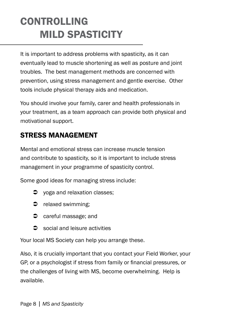# **CONTROLLING** mild spasticity

It is important to address problems with spasticity, as it can eventually lead to muscle shortening as well as posture and joint troubles. The best management methods are concerned with prevention, using stress management and gentle exercise. Other tools include physical therapy aids and medication.

You should involve your family, carer and health professionals in your treatment, as a team approach can provide both physical and motivational support.

#### Stress management

Mental and emotional stress can increase muscle tension and contribute to spasticity, so it is important to include stress management in your programme of spasticity control.

Some good ideas for managing stress include:

- $\supset$  yoga and relaxation classes;
- $\bullet$  relaxed swimming;
- $\bullet$  careful massage; and
- **C** social and leisure activities

Your local MS Society can help you arrange these.

Also, it is crucially important that you contact your Field Worker, your GP, or a psychologist if stress from family or financial pressures, or the challenges of living with MS, become overwhelming. Help is available.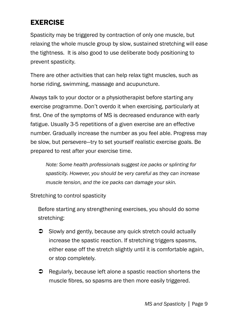#### **EXERCISE**

Spasticity may be triggered by contraction of only one muscle, but relaxing the whole muscle group by slow, sustained stretching will ease the tightness. It is also good to use deliberate body positioning to prevent spasticity.

There are other activities that can help relax tight muscles, such as horse riding, swimming, massage and acupuncture.

Always talk to your doctor or a physiotherapist before starting any exercise programme. Don't overdo it when exercising, particularly at first. One of the symptoms of MS is decreased endurance with early fatigue. Usually 3-5 repetitions of a given exercise are an effective number. Gradually increase the number as you feel able. Progress may be slow, but persevere—try to set yourself realistic exercise goals. Be prepared to rest after your exercise time.

*Note: Some health professionals suggest ice packs or splinting for spasticity. However, you should be very careful as they can increase muscle tension, and the ice packs can damage your skin.* 

Stretching to control spasticity

Before starting any strengthening exercises, you should do some stretching:

- Slowly and gently, because any quick stretch could actually increase the spastic reaction. If stretching triggers spasms, either ease off the stretch slightly until it is comfortable again, or stop completely.
- **C** Regularly, because left alone a spastic reaction shortens the muscle fibres, so spasms are then more easily triggered.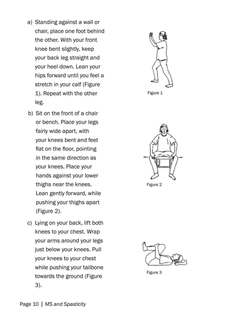- a) Standing against a wall or chair, place one foot behind the other. With your front knee bent slightly, keep your back leg straight and your heel down. Lean your hips forward until you feel a stretch in your calf (Figure 1). Repeat with the other leg.
- b) Sit on the front of a chair or bench. Place your legs fairly wide apart, with your knees bent and feet flat on the floor, pointing in the same direction as your knees. Place your hands against your lower thighs near the knees. Lean gently forward, while pushing your thighs apart (Figure 2).
- c) Lying on your back, lift both knees to your chest. Wrap your arms around your legs just below your knees. Pull your knees to your chest while pushing your tailbone towards the ground (Figure 3).



Figure 1



Figure 2



Figure 3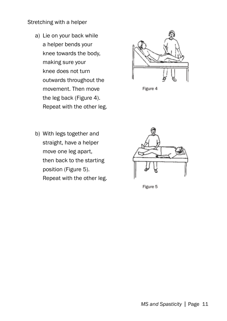#### Stretching with a helper

a) Lie on your back while a helper bends your knee towards the body, making sure your knee does not turn outwards throughout the movement. Then move the leg back (Figure 4). Repeat with the other leg.





b) With legs together and straight, have a helper move one leg apart, then back to the starting position (Figure 5). Repeat with the other leg.



Figure 5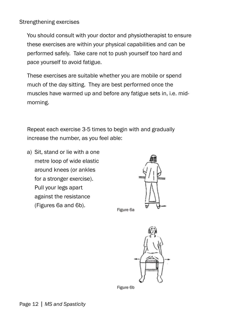#### Strengthening exercises

You should consult with your doctor and physiotherapist to ensure these exercises are within your physical capabilities and can be performed safely. Take care not to push yourself too hard and pace yourself to avoid fatigue.

These exercises are suitable whether you are mobile or spend much of the day sitting. They are best performed once the muscles have warmed up and before any fatigue sets in, i.e. midmorning.

Repeat each exercise 3-5 times to begin with and gradually increase the number, as you feel able:

a) Sit, stand or lie with a one metre loop of wide elastic around knees (or ankles for a stronger exercise). Pull your legs apart against the resistance (Figures 6a and 6b).



Figure 6a



Figure 6b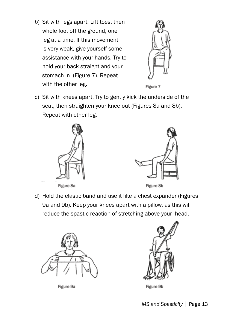b) Sit with legs apart. Lift toes, then whole foot off the ground, one leg at a time. If this movement is very weak, give yourself some assistance with your hands. Try to hold your back straight and your stomach in (Figure 7). Repeat with the other leg.





c) Sit with knees apart. Try to gently kick the underside of the seat, then straighten your knee out (Figures 8a and 8b). Repeat with other leg.





Figure 8b

d) Hold the elastic band and use it like a chest expander (Figures 9a and 9b). Keep your knees apart with a pillow, as this will reduce the spastic reaction of stretching above your head.



Figure 9a



Figure 9b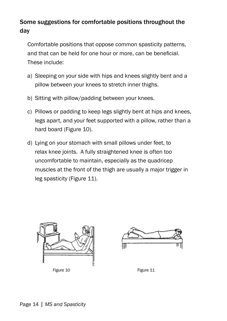#### Some suggestions for comfortable positions throughout the day

Comfortable positions that oppose common spasticity patterns, and that can be held for one hour or more, can be beneficial. These include:

- a) Sleeping on your side with hips and knees slightly bent and a pillow between your knees to stretch inner thighs.
- b) Sitting with pillow/padding between your knees.
- c) Pillows or padding to keep legs slightly bent at hips and knees, legs apart, and your feet supported with a pillow, rather than a hard board (Figure 10).
- d) Lying on your stomach with small pillows under feet, to relax knee joints. A fully straightened knee is often too uncomfortable to maintain, especially as the quadricep muscles at the front of the thigh are usually a major trigger in leg spasticity (Figure 11).



Figure 10

Figure 11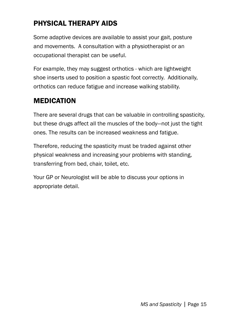### Physical therapy aids

Some adaptive devices are available to assist your gait, posture and movements. A consultation with a physiotherapist or an occupational therapist can be useful.

For example, they may suggest orthotics - which are lightweight shoe inserts used to position a spastic foot correctly. Additionally, orthotics can reduce fatigue and increase walking stability.

#### **MEDICATION**

There are several drugs that can be valuable in controlling spasticity, but these drugs affect all the muscles of the body—not just the tight ones. The results can be increased weakness and fatigue.

Therefore, reducing the spasticity must be traded against other physical weakness and increasing your problems with standing, transferring from bed, chair, toilet, etc.

Your GP or Neurologist will be able to discuss your options in appropriate detail.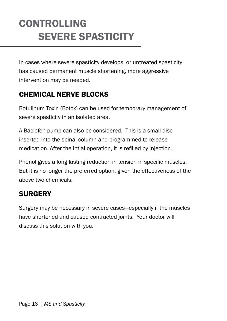### **CONTROLLING** severe spasticity

In cases where severe spasticity develops, or untreated spasticity has caused permanent muscle shortening, more aggressive intervention may be needed.

### Chemical nerve blocks

Botulinum Toxin (Botox) can be used for temporary management of severe spasticity in an isolated area.

A Baclofen pump can also be considered. This is a small disc inserted into the spinal column and programmed to release medication. After the intial operation, it is refilled by injection.

Phenol gives a long lasting reduction in tension in specific muscles. But it is no longer the preferred option, given the effectiveness of the above two chemicals.

#### **SURGERY**

Surgery may be necessary in severe cases—especially if the muscles have shortened and caused contracted joints. Your doctor will discuss this solution with you.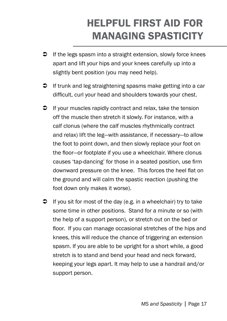# helpful first aid for managing spasticity

- $\supset$  If the legs spasm into a straight extension, slowly force knees apart and lift your hips and your knees carefully up into a slightly bent position (you may need help).
- $\supset$  If trunk and leg straightening spasms make getting into a car difficult, curl your head and shoulders towards your chest.
- $\supset$  If your muscles rapidly contract and relax, take the tension off the muscle then stretch it slowly. For instance, with a calf clonus (where the calf muscles rhythmically contract and relax) lift the leg—with assistance, if necessary—to allow the foot to point down, and then slowly replace your foot on the floor—or footplate if you use a wheelchair. Where clonus causes 'tap-dancing' for those in a seated position, use firm downward pressure on the knee. This forces the heel flat on the ground and will calm the spastic reaction (pushing the foot down only makes it worse).
- $\supset$  If you sit for most of the day (e.g. in a wheelchair) try to take some time in other positions. Stand for a minute or so (with the help of a support person), or stretch out on the bed or floor. If you can manage occasional stretches of the hips and knees, this will reduce the chance of triggering an extension spasm. If you are able to be upright for a short while, a good stretch is to stand and bend your head and neck forward, keeping your legs apart. It may help to use a handrail and/or support person.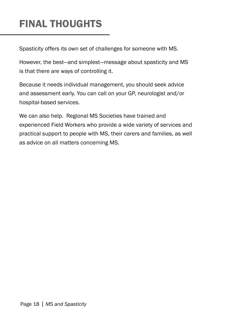# FINAL THOUGHTS

Spasticity offers its own set of challenges for someone with MS.

However, the best—and simplest—message about spasticity and MS is that there are ways of controlling it.

Because it needs individual management, you should seek advice and assessment early. You can call on your GP, neurologist and/or hospital-based services.

We can also help. Regional MS Societies have trained and experienced Field Workers who provide a wide variety of services and practical support to people with MS, their carers and families, as well as advice on all matters concerning MS.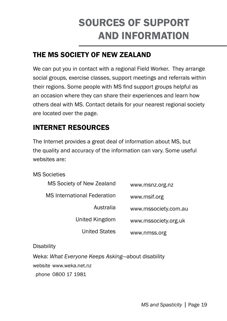### sources of support and information

### the ms society of NEW Zealand

We can put you in contact with a regional Field Worker. They arrange social groups, exercise classes, support meetings and referrals within their regions. Some people with MS find support groups helpful as an occasion where they can share their experiences and learn how others deal with MS. Contact details for your nearest regional society are located over the page.

#### INTERNET RESOURCES

The Internet provides a great deal of information about MS, but the quality and accuracy of the information can vary. Some useful websites are:

MS Societies

| www.msnz.org.nz      | MS Society of New Zealand          |
|----------------------|------------------------------------|
| www.msif.org         | <b>MS</b> International Federation |
| www.mssociety.com.au | Australia                          |
| www.mssociety.org.uk | United Kingdom                     |
| www.nmss.org         | <b>United States</b>               |
|                      |                                    |

**Disability** 

Weka: *What Everyone Keeps Asking*—about disability

website www.weka.net.nz

phone 0800 17 1981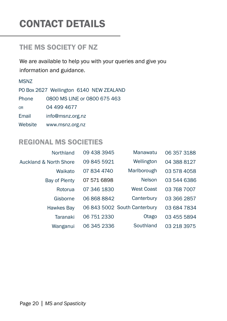### CONTACT DETAILS

#### the ms society OF NZ

We are available to help you with your queries and give you information and guidance.

MSNZ

|         | PO Box 2627 Wellington 6140 NEW ZEALAND |
|---------|-----------------------------------------|
| Phone   | 0800 MS LINE or 0800 675 463            |
| 0R      | 04 499 4677                             |
| Email   | info@msnz.org.nz                        |
| Website | www.msnz.org.nz                         |

#### REGIONAL MS SOCIETIES

| Northland              | 09 438 3945 | Manawatu                     | 06 357 3188 |
|------------------------|-------------|------------------------------|-------------|
| Auckland & North Shore | 09 845 5921 | Wellington                   | 04 388 8127 |
| Waikato                | 07 834 4740 | Marlborough                  | 03 578 4058 |
| Bay of Plenty          | 07 571 6898 | <b>Nelson</b>                | 03 544 6386 |
| Rotorua                | 07 346 1830 | <b>West Coast</b>            | 03 768 7007 |
| Gisborne               | 06 868 8842 | Canterbury                   | 03 366 2857 |
| Hawkes Bay             |             | 06 843 5002 South Canterbury | 03 684 7834 |
| Taranaki               | 06 751 2330 | Otago                        | 03 455 5894 |
| Wanganui               | 06 345 2336 | Southland                    | 03 218 3975 |